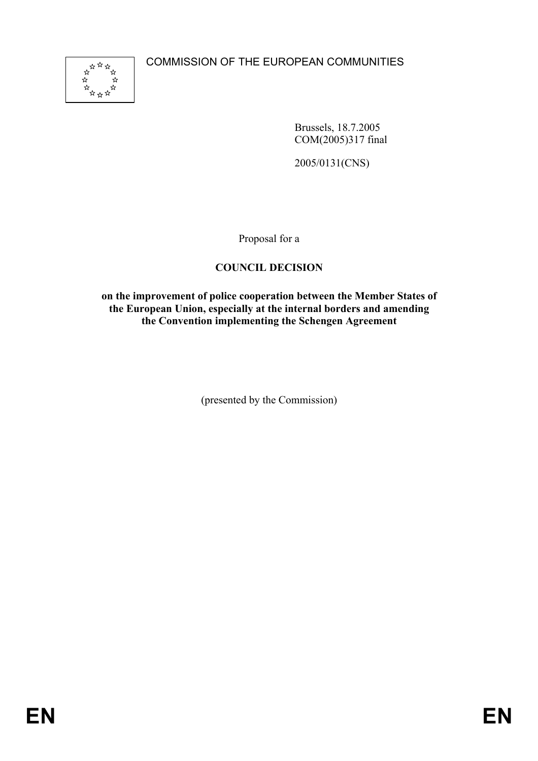

Brussels, 18.7.2005 COM(2005)317 final

2005/0131(CNS)

Proposal for a

# **COUNCIL DECISION**

### **on the improvement of police cooperation between the Member States of the European Union, especially at the internal borders and amending the Convention implementing the Schengen Agreement**

(presented by the Commission)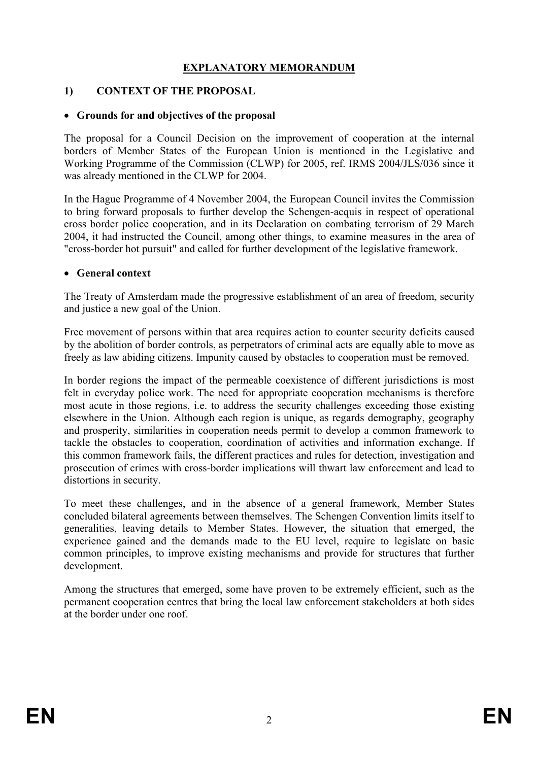## **EXPLANATORY MEMORANDUM**

### **1) CONTEXT OF THE PROPOSAL**

### • **Grounds for and objectives of the proposal**

The proposal for a Council Decision on the improvement of cooperation at the internal borders of Member States of the European Union is mentioned in the Legislative and Working Programme of the Commission (CLWP) for 2005, ref. IRMS 2004/JLS/036 since it was already mentioned in the CLWP for 2004.

In the Hague Programme of 4 November 2004, the European Council invites the Commission to bring forward proposals to further develop the Schengen-acquis in respect of operational cross border police cooperation, and in its Declaration on combating terrorism of 29 March 2004, it had instructed the Council, among other things, to examine measures in the area of "cross-border hot pursuit" and called for further development of the legislative framework.

#### • **General context**

The Treaty of Amsterdam made the progressive establishment of an area of freedom, security and justice a new goal of the Union.

Free movement of persons within that area requires action to counter security deficits caused by the abolition of border controls, as perpetrators of criminal acts are equally able to move as freely as law abiding citizens. Impunity caused by obstacles to cooperation must be removed.

In border regions the impact of the permeable coexistence of different jurisdictions is most felt in everyday police work. The need for appropriate cooperation mechanisms is therefore most acute in those regions, i.e. to address the security challenges exceeding those existing elsewhere in the Union. Although each region is unique, as regards demography, geography and prosperity, similarities in cooperation needs permit to develop a common framework to tackle the obstacles to cooperation, coordination of activities and information exchange. If this common framework fails, the different practices and rules for detection, investigation and prosecution of crimes with cross-border implications will thwart law enforcement and lead to distortions in security.

To meet these challenges, and in the absence of a general framework, Member States concluded bilateral agreements between themselves. The Schengen Convention limits itself to generalities, leaving details to Member States. However, the situation that emerged, the experience gained and the demands made to the EU level, require to legislate on basic common principles, to improve existing mechanisms and provide for structures that further development.

Among the structures that emerged, some have proven to be extremely efficient, such as the permanent cooperation centres that bring the local law enforcement stakeholders at both sides at the border under one roof.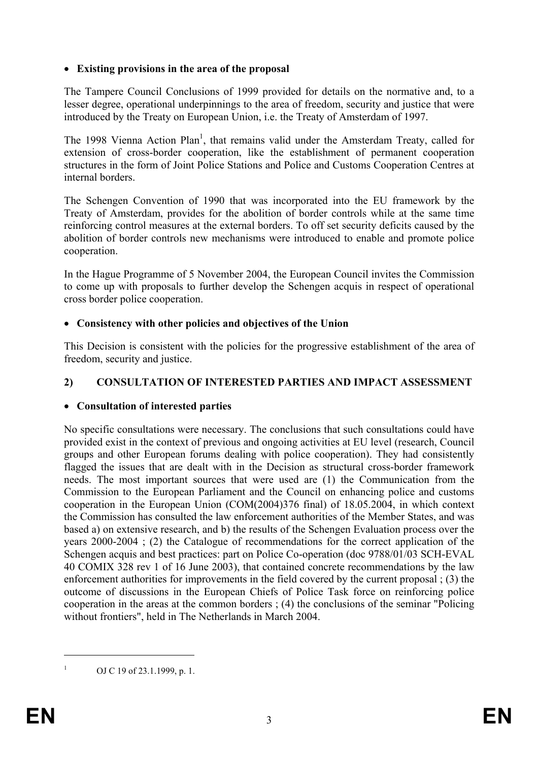## • **Existing provisions in the area of the proposal**

The Tampere Council Conclusions of 1999 provided for details on the normative and, to a lesser degree, operational underpinnings to the area of freedom, security and justice that were introduced by the Treaty on European Union, i.e. the Treaty of Amsterdam of 1997.

The 1998 Vienna Action Plan<sup>1</sup>, that remains valid under the Amsterdam Treaty, called for extension of cross-border cooperation, like the establishment of permanent cooperation structures in the form of Joint Police Stations and Police and Customs Cooperation Centres at internal borders.

The Schengen Convention of 1990 that was incorporated into the EU framework by the Treaty of Amsterdam, provides for the abolition of border controls while at the same time reinforcing control measures at the external borders. To off set security deficits caused by the abolition of border controls new mechanisms were introduced to enable and promote police cooperation.

In the Hague Programme of 5 November 2004, the European Council invites the Commission to come up with proposals to further develop the Schengen acquis in respect of operational cross border police cooperation.

## • **Consistency with other policies and objectives of the Union**

This Decision is consistent with the policies for the progressive establishment of the area of freedom, security and justice.

## **2) CONSULTATION OF INTERESTED PARTIES AND IMPACT ASSESSMENT**

## • **Consultation of interested parties**

No specific consultations were necessary. The conclusions that such consultations could have provided exist in the context of previous and ongoing activities at EU level (research, Council groups and other European forums dealing with police cooperation). They had consistently flagged the issues that are dealt with in the Decision as structural cross-border framework needs. The most important sources that were used are (1) the Communication from the Commission to the European Parliament and the Council on enhancing police and customs cooperation in the European Union (COM(2004)376 final) of 18.05.2004, in which context the Commission has consulted the law enforcement authorities of the Member States, and was based a) on extensive research, and b) the results of the Schengen Evaluation process over the years 2000-2004 ; (2) the Catalogue of recommendations for the correct application of the Schengen acquis and best practices: part on Police Co-operation (doc 9788/01/03 SCH-EVAL 40 COMIX 328 rev 1 of 16 June 2003), that contained concrete recommendations by the law enforcement authorities for improvements in the field covered by the current proposal ; (3) the outcome of discussions in the European Chiefs of Police Task force on reinforcing police cooperation in the areas at the common borders ; (4) the conclusions of the seminar "Policing without frontiers", held in The Netherlands in March 2004.

<sup>1</sup> OJ C 19 of 23.1.1999, p. 1.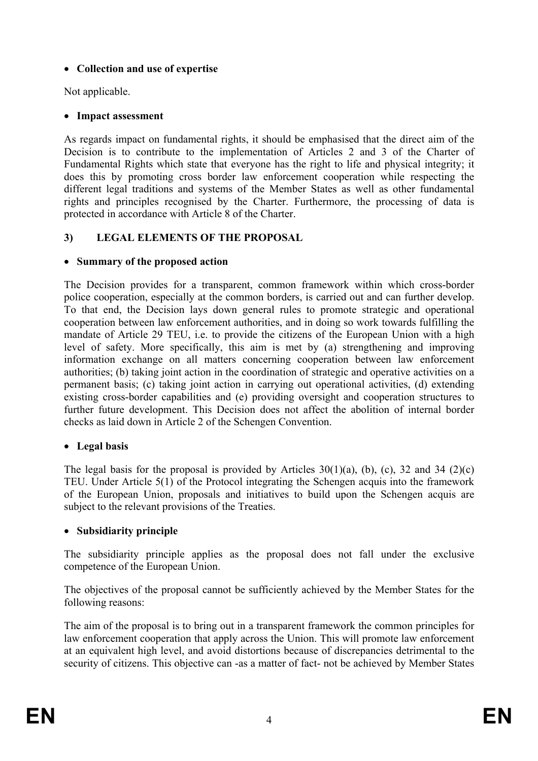## • **Collection and use of expertise**

Not applicable.

## • **Impact assessment**

As regards impact on fundamental rights, it should be emphasised that the direct aim of the Decision is to contribute to the implementation of Articles 2 and 3 of the Charter of Fundamental Rights which state that everyone has the right to life and physical integrity; it does this by promoting cross border law enforcement cooperation while respecting the different legal traditions and systems of the Member States as well as other fundamental rights and principles recognised by the Charter. Furthermore, the processing of data is protected in accordance with Article 8 of the Charter.

## **3) LEGAL ELEMENTS OF THE PROPOSAL**

## • **Summary of the proposed action**

The Decision provides for a transparent, common framework within which cross-border police cooperation, especially at the common borders, is carried out and can further develop. To that end, the Decision lays down general rules to promote strategic and operational cooperation between law enforcement authorities, and in doing so work towards fulfilling the mandate of Article 29 TEU, i.e. to provide the citizens of the European Union with a high level of safety. More specifically, this aim is met by (a) strengthening and improving information exchange on all matters concerning cooperation between law enforcement authorities; (b) taking joint action in the coordination of strategic and operative activities on a permanent basis; (c) taking joint action in carrying out operational activities, (d) extending existing cross-border capabilities and (e) providing oversight and cooperation structures to further future development. This Decision does not affect the abolition of internal border checks as laid down in Article 2 of the Schengen Convention.

## • **Legal basis**

The legal basis for the proposal is provided by Articles  $30(1)(a)$ , (b), (c), 32 and 34 (2)(c) TEU. Under Article 5(1) of the Protocol integrating the Schengen acquis into the framework of the European Union, proposals and initiatives to build upon the Schengen acquis are subject to the relevant provisions of the Treaties.

## • **Subsidiarity principle**

The subsidiarity principle applies as the proposal does not fall under the exclusive competence of the European Union.

The objectives of the proposal cannot be sufficiently achieved by the Member States for the following reasons:

The aim of the proposal is to bring out in a transparent framework the common principles for law enforcement cooperation that apply across the Union. This will promote law enforcement at an equivalent high level, and avoid distortions because of discrepancies detrimental to the security of citizens. This objective can -as a matter of fact- not be achieved by Member States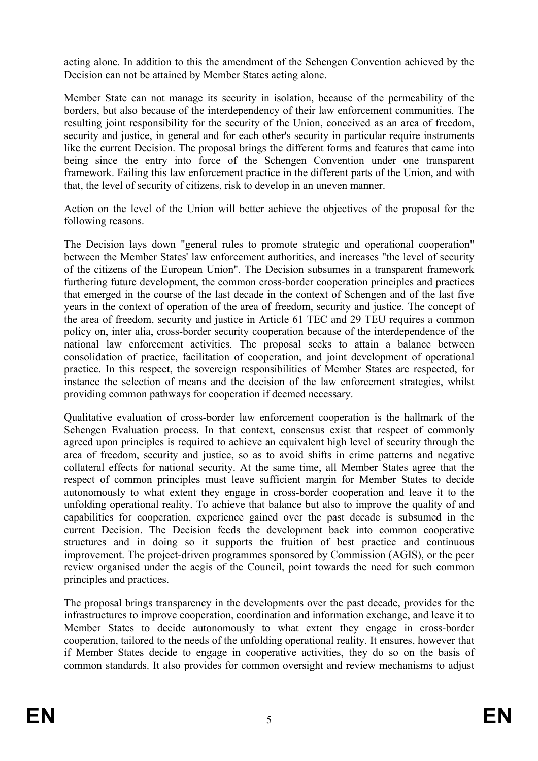acting alone. In addition to this the amendment of the Schengen Convention achieved by the Decision can not be attained by Member States acting alone.

Member State can not manage its security in isolation, because of the permeability of the borders, but also because of the interdependency of their law enforcement communities. The resulting joint responsibility for the security of the Union, conceived as an area of freedom, security and justice, in general and for each other's security in particular require instruments like the current Decision. The proposal brings the different forms and features that came into being since the entry into force of the Schengen Convention under one transparent framework. Failing this law enforcement practice in the different parts of the Union, and with that, the level of security of citizens, risk to develop in an uneven manner.

Action on the level of the Union will better achieve the objectives of the proposal for the following reasons.

The Decision lays down "general rules to promote strategic and operational cooperation" between the Member States' law enforcement authorities, and increases "the level of security of the citizens of the European Union". The Decision subsumes in a transparent framework furthering future development, the common cross-border cooperation principles and practices that emerged in the course of the last decade in the context of Schengen and of the last five years in the context of operation of the area of freedom, security and justice. The concept of the area of freedom, security and justice in Article 61 TEC and 29 TEU requires a common policy on, inter alia, cross-border security cooperation because of the interdependence of the national law enforcement activities. The proposal seeks to attain a balance between consolidation of practice, facilitation of cooperation, and joint development of operational practice. In this respect, the sovereign responsibilities of Member States are respected, for instance the selection of means and the decision of the law enforcement strategies, whilst providing common pathways for cooperation if deemed necessary.

Qualitative evaluation of cross-border law enforcement cooperation is the hallmark of the Schengen Evaluation process. In that context, consensus exist that respect of commonly agreed upon principles is required to achieve an equivalent high level of security through the area of freedom, security and justice, so as to avoid shifts in crime patterns and negative collateral effects for national security. At the same time, all Member States agree that the respect of common principles must leave sufficient margin for Member States to decide autonomously to what extent they engage in cross-border cooperation and leave it to the unfolding operational reality. To achieve that balance but also to improve the quality of and capabilities for cooperation, experience gained over the past decade is subsumed in the current Decision. The Decision feeds the development back into common cooperative structures and in doing so it supports the fruition of best practice and continuous improvement. The project-driven programmes sponsored by Commission (AGIS), or the peer review organised under the aegis of the Council, point towards the need for such common principles and practices.

The proposal brings transparency in the developments over the past decade, provides for the infrastructures to improve cooperation, coordination and information exchange, and leave it to Member States to decide autonomously to what extent they engage in cross-border cooperation, tailored to the needs of the unfolding operational reality. It ensures, however that if Member States decide to engage in cooperative activities, they do so on the basis of common standards. It also provides for common oversight and review mechanisms to adjust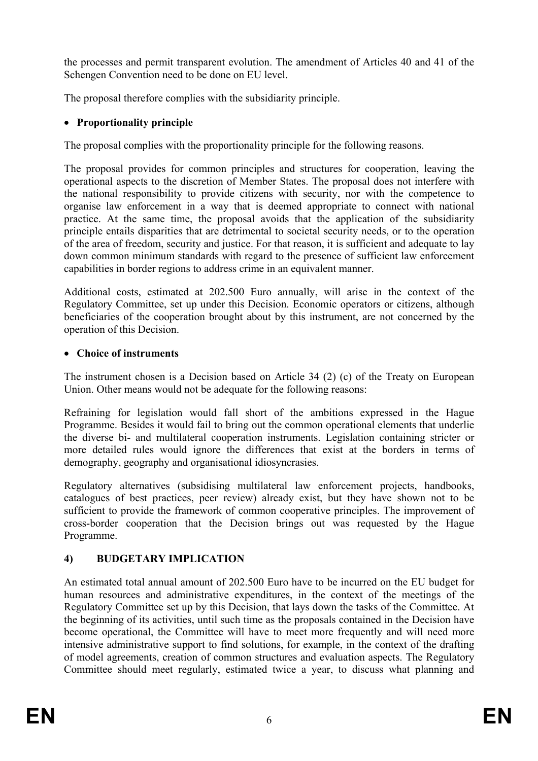the processes and permit transparent evolution. The amendment of Articles 40 and 41 of the Schengen Convention need to be done on EU level.

The proposal therefore complies with the subsidiarity principle.

## • **Proportionality principle**

The proposal complies with the proportionality principle for the following reasons.

The proposal provides for common principles and structures for cooperation, leaving the operational aspects to the discretion of Member States. The proposal does not interfere with the national responsibility to provide citizens with security, nor with the competence to organise law enforcement in a way that is deemed appropriate to connect with national practice. At the same time, the proposal avoids that the application of the subsidiarity principle entails disparities that are detrimental to societal security needs, or to the operation of the area of freedom, security and justice. For that reason, it is sufficient and adequate to lay down common minimum standards with regard to the presence of sufficient law enforcement capabilities in border regions to address crime in an equivalent manner.

Additional costs, estimated at 202.500 Euro annually, will arise in the context of the Regulatory Committee, set up under this Decision. Economic operators or citizens, although beneficiaries of the cooperation brought about by this instrument, are not concerned by the operation of this Decision.

## • **Choice of instruments**

The instrument chosen is a Decision based on Article 34 (2) (c) of the Treaty on European Union. Other means would not be adequate for the following reasons:

Refraining for legislation would fall short of the ambitions expressed in the Hague Programme. Besides it would fail to bring out the common operational elements that underlie the diverse bi- and multilateral cooperation instruments. Legislation containing stricter or more detailed rules would ignore the differences that exist at the borders in terms of demography, geography and organisational idiosyncrasies.

Regulatory alternatives (subsidising multilateral law enforcement projects, handbooks, catalogues of best practices, peer review) already exist, but they have shown not to be sufficient to provide the framework of common cooperative principles. The improvement of cross-border cooperation that the Decision brings out was requested by the Hague Programme.

# **4) BUDGETARY IMPLICATION**

An estimated total annual amount of 202.500 Euro have to be incurred on the EU budget for human resources and administrative expenditures, in the context of the meetings of the Regulatory Committee set up by this Decision, that lays down the tasks of the Committee. At the beginning of its activities, until such time as the proposals contained in the Decision have become operational, the Committee will have to meet more frequently and will need more intensive administrative support to find solutions, for example, in the context of the drafting of model agreements, creation of common structures and evaluation aspects. The Regulatory Committee should meet regularly, estimated twice a year, to discuss what planning and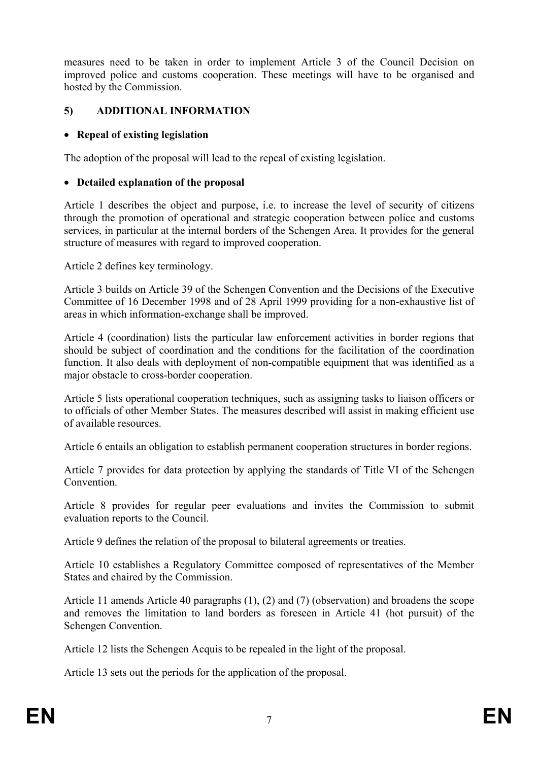measures need to be taken in order to implement Article 3 of the Council Decision on improved police and customs cooperation. These meetings will have to be organised and hosted by the Commission.

## **5) ADDITIONAL INFORMATION**

## • **Repeal of existing legislation**

The adoption of the proposal will lead to the repeal of existing legislation.

## • **Detailed explanation of the proposal**

Article 1 describes the object and purpose, i.e. to increase the level of security of citizens through the promotion of operational and strategic cooperation between police and customs services, in particular at the internal borders of the Schengen Area. It provides for the general structure of measures with regard to improved cooperation.

Article 2 defines key terminology.

Article 3 builds on Article 39 of the Schengen Convention and the Decisions of the Executive Committee of 16 December 1998 and of 28 April 1999 providing for a non-exhaustive list of areas in which information-exchange shall be improved.

Article 4 (coordination) lists the particular law enforcement activities in border regions that should be subject of coordination and the conditions for the facilitation of the coordination function. It also deals with deployment of non-compatible equipment that was identified as a major obstacle to cross-border cooperation.

Article 5 lists operational cooperation techniques, such as assigning tasks to liaison officers or to officials of other Member States. The measures described will assist in making efficient use of available resources.

Article 6 entails an obligation to establish permanent cooperation structures in border regions.

Article 7 provides for data protection by applying the standards of Title VI of the Schengen **Convention** 

Article 8 provides for regular peer evaluations and invites the Commission to submit evaluation reports to the Council.

Article 9 defines the relation of the proposal to bilateral agreements or treaties.

Article 10 establishes a Regulatory Committee composed of representatives of the Member States and chaired by the Commission.

Article 11 amends Article 40 paragraphs (1), (2) and (7) (observation) and broadens the scope and removes the limitation to land borders as foreseen in Article 41 (hot pursuit) of the Schengen Convention.

Article 12 lists the Schengen Acquis to be repealed in the light of the proposal.

Article 13 sets out the periods for the application of the proposal.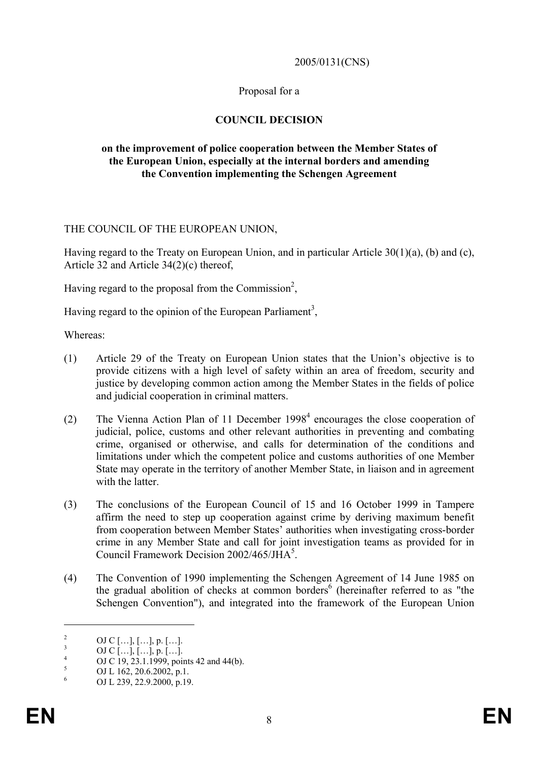#### 2005/0131(CNS)

### Proposal for a

### **COUNCIL DECISION**

#### **on the improvement of police cooperation between the Member States of the European Union, especially at the internal borders and amending the Convention implementing the Schengen Agreement**

#### THE COUNCIL OF THE EUROPEAN UNION,

Having regard to the Treaty on European Union, and in particular Article 30(1)(a), (b) and (c), Article 32 and Article 34(2)(c) thereof,

Having regard to the proposal from the Commission<sup>2</sup>,

Having regard to the opinion of the European Parliament<sup>3</sup>,

Whereas:

- (1) Article 29 of the Treaty on European Union states that the Union's objective is to provide citizens with a high level of safety within an area of freedom, security and justice by developing common action among the Member States in the fields of police and judicial cooperation in criminal matters.
- (2) The Vienna Action Plan of 11 December 1998<sup>4</sup> encourages the close cooperation of judicial, police, customs and other relevant authorities in preventing and combating crime, organised or otherwise, and calls for determination of the conditions and limitations under which the competent police and customs authorities of one Member State may operate in the territory of another Member State, in liaison and in agreement with the latter
- (3) The conclusions of the European Council of 15 and 16 October 1999 in Tampere affirm the need to step up cooperation against crime by deriving maximum benefit from cooperation between Member States' authorities when investigating cross-border crime in any Member State and call for joint investigation teams as provided for in Council Framework Decision 2002/465/JHA<sup>5</sup>.
- (4) The Convention of 1990 implementing the Schengen Agreement of 14 June 1985 on the gradual abolition of checks at common borders<sup>6</sup> (hereinafter referred to as "the Schengen Convention"), and integrated into the framework of the European Union

<sup>&</sup>lt;sup>2</sup> OJ C […], […], p. […].<br>
<sup>3</sup> OJ C […], […], p. […].<br>
<sup>4</sup> OJ C 19, 23.1.1999, points 42 and 44(b).<br>
<sup>5</sup> OJ L 162, 20.6.2002, p.1.<br>
<sup>6</sup> OJ L 239, 22.9.2000, p.19.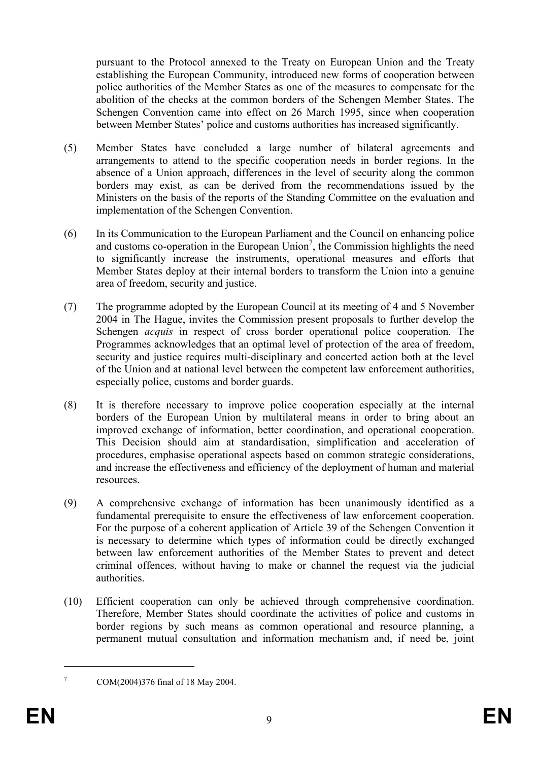pursuant to the Protocol annexed to the Treaty on European Union and the Treaty establishing the European Community, introduced new forms of cooperation between police authorities of the Member States as one of the measures to compensate for the abolition of the checks at the common borders of the Schengen Member States. The Schengen Convention came into effect on 26 March 1995, since when cooperation between Member States' police and customs authorities has increased significantly.

- (5) Member States have concluded a large number of bilateral agreements and arrangements to attend to the specific cooperation needs in border regions. In the absence of a Union approach, differences in the level of security along the common borders may exist, as can be derived from the recommendations issued by the Ministers on the basis of the reports of the Standing Committee on the evaluation and implementation of the Schengen Convention.
- (6) In its Communication to the European Parliament and the Council on enhancing police and customs co-operation in the European Union<sup>7</sup>, the Commission highlights the need to significantly increase the instruments, operational measures and efforts that Member States deploy at their internal borders to transform the Union into a genuine area of freedom, security and justice.
- (7) The programme adopted by the European Council at its meeting of 4 and 5 November 2004 in The Hague, invites the Commission present proposals to further develop the Schengen *acquis* in respect of cross border operational police cooperation. The Programmes acknowledges that an optimal level of protection of the area of freedom, security and justice requires multi-disciplinary and concerted action both at the level of the Union and at national level between the competent law enforcement authorities, especially police, customs and border guards.
- (8) It is therefore necessary to improve police cooperation especially at the internal borders of the European Union by multilateral means in order to bring about an improved exchange of information, better coordination, and operational cooperation. This Decision should aim at standardisation, simplification and acceleration of procedures, emphasise operational aspects based on common strategic considerations, and increase the effectiveness and efficiency of the deployment of human and material resources.
- (9) A comprehensive exchange of information has been unanimously identified as a fundamental prerequisite to ensure the effectiveness of law enforcement cooperation. For the purpose of a coherent application of Article 39 of the Schengen Convention it is necessary to determine which types of information could be directly exchanged between law enforcement authorities of the Member States to prevent and detect criminal offences, without having to make or channel the request via the judicial authorities.
- (10) Efficient cooperation can only be achieved through comprehensive coordination. Therefore, Member States should coordinate the activities of police and customs in border regions by such means as common operational and resource planning, a permanent mutual consultation and information mechanism and, if need be, joint

<sup>1</sup> 

 $7 \text{ COM}(2004)376 \text{ final of } 18 \text{ May } 2004.$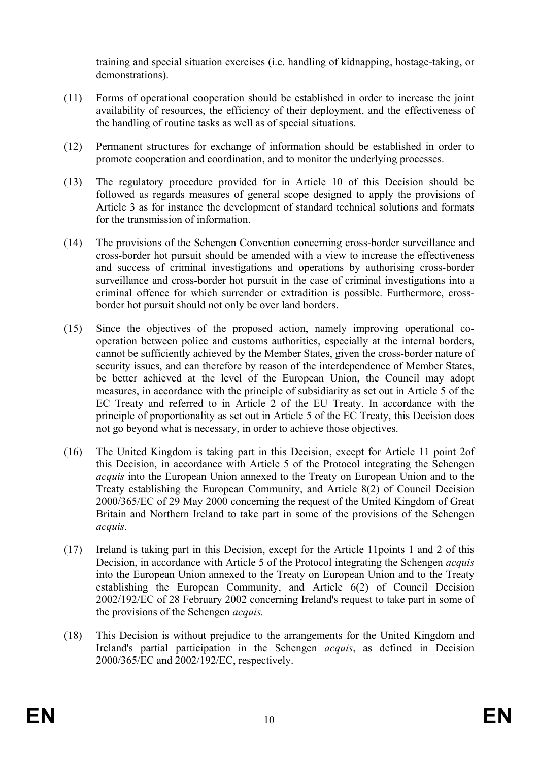training and special situation exercises (i.e. handling of kidnapping, hostage-taking, or demonstrations).

- (11) Forms of operational cooperation should be established in order to increase the joint availability of resources, the efficiency of their deployment, and the effectiveness of the handling of routine tasks as well as of special situations.
- (12) Permanent structures for exchange of information should be established in order to promote cooperation and coordination, and to monitor the underlying processes.
- (13) The regulatory procedure provided for in Article 10 of this Decision should be followed as regards measures of general scope designed to apply the provisions of Article 3 as for instance the development of standard technical solutions and formats for the transmission of information.
- (14) The provisions of the Schengen Convention concerning cross-border surveillance and cross-border hot pursuit should be amended with a view to increase the effectiveness and success of criminal investigations and operations by authorising cross-border surveillance and cross-border hot pursuit in the case of criminal investigations into a criminal offence for which surrender or extradition is possible. Furthermore, crossborder hot pursuit should not only be over land borders.
- (15) Since the objectives of the proposed action, namely improving operational cooperation between police and customs authorities, especially at the internal borders, cannot be sufficiently achieved by the Member States, given the cross-border nature of security issues, and can therefore by reason of the interdependence of Member States, be better achieved at the level of the European Union, the Council may adopt measures, in accordance with the principle of subsidiarity as set out in Article 5 of the EC Treaty and referred to in Article 2 of the EU Treaty. In accordance with the principle of proportionality as set out in Article 5 of the EC Treaty, this Decision does not go beyond what is necessary, in order to achieve those objectives.
- (16) The United Kingdom is taking part in this Decision, except for Article 11 point 2of this Decision, in accordance with Article 5 of the Protocol integrating the Schengen *acquis* into the European Union annexed to the Treaty on European Union and to the Treaty establishing the European Community, and Article 8(2) of Council Decision 2000/365/EC of 29 May 2000 concerning the request of the United Kingdom of Great Britain and Northern Ireland to take part in some of the provisions of the Schengen *acquis*.
- (17) Ireland is taking part in this Decision, except for the Article 11points 1 and 2 of this Decision, in accordance with Article 5 of the Protocol integrating the Schengen *acquis*  into the European Union annexed to the Treaty on European Union and to the Treaty establishing the European Community, and Article 6(2) of Council Decision 2002/192/EC of 28 February 2002 concerning Ireland's request to take part in some of the provisions of the Schengen *acquis.*
- (18) This Decision is without prejudice to the arrangements for the United Kingdom and Ireland's partial participation in the Schengen *acquis*, as defined in Decision 2000/365/EC and 2002/192/EC, respectively.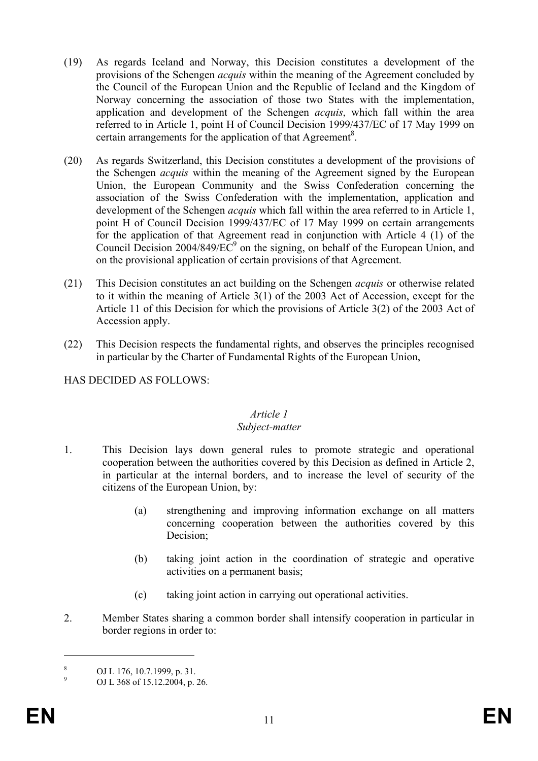- (19) As regards Iceland and Norway, this Decision constitutes a development of the provisions of the Schengen *acquis* within the meaning of the Agreement concluded by the Council of the European Union and the Republic of Iceland and the Kingdom of Norway concerning the association of those two States with the implementation, application and development of the Schengen *acquis*, which fall within the area referred to in Article 1, point H of Council Decision 1999/437/EC of 17 May 1999 on certain arrangements for the application of that Agreement<sup>8</sup>.
- (20) As regards Switzerland, this Decision constitutes a development of the provisions of the Schengen *acquis* within the meaning of the Agreement signed by the European Union, the European Community and the Swiss Confederation concerning the association of the Swiss Confederation with the implementation, application and development of the Schengen *acquis* which fall within the area referred to in Article 1, point H of Council Decision 1999/437/EC of 17 May 1999 on certain arrangements for the application of that Agreement read in conjunction with Article 4 (1) of the Council Decision 2004/849/ $\overline{EC}^9$  on the signing, on behalf of the European Union, and on the provisional application of certain provisions of that Agreement.
- (21) This Decision constitutes an act building on the Schengen *acquis* or otherwise related to it within the meaning of Article 3(1) of the 2003 Act of Accession, except for the Article 11 of this Decision for which the provisions of Article 3(2) of the 2003 Act of Accession apply.
- (22) This Decision respects the fundamental rights, and observes the principles recognised in particular by the Charter of Fundamental Rights of the European Union,

HAS DECIDED AS FOLLOWS:

# *Article 1*

#### *Subject-matter*

- 1. This Decision lays down general rules to promote strategic and operational cooperation between the authorities covered by this Decision as defined in Article 2, in particular at the internal borders, and to increase the level of security of the citizens of the European Union, by:
	- (a) strengthening and improving information exchange on all matters concerning cooperation between the authorities covered by this Decision;
	- (b) taking joint action in the coordination of strategic and operative activities on a permanent basis;
	- (c) taking joint action in carrying out operational activities.
- 2. Member States sharing a common border shall intensify cooperation in particular in border regions in order to:

<sup>&</sup>lt;sup>8</sup> OJ L 176, 10.7.1999, p. 31.<br>
OJ L 368 of 15.12.2004, p. 26.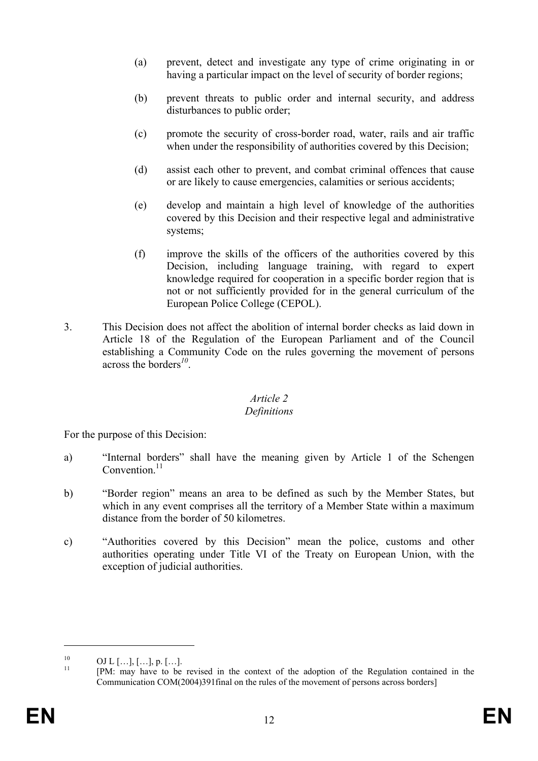- (a) prevent, detect and investigate any type of crime originating in or having a particular impact on the level of security of border regions;
- (b) prevent threats to public order and internal security, and address disturbances to public order;
- (c) promote the security of cross-border road, water, rails and air traffic when under the responsibility of authorities covered by this Decision;
- (d) assist each other to prevent, and combat criminal offences that cause or are likely to cause emergencies, calamities or serious accidents;
- (e) develop and maintain a high level of knowledge of the authorities covered by this Decision and their respective legal and administrative systems;
- (f) improve the skills of the officers of the authorities covered by this Decision, including language training, with regard to expert knowledge required for cooperation in a specific border region that is not or not sufficiently provided for in the general curriculum of the European Police College (CEPOL).
- 3. This Decision does not affect the abolition of internal border checks as laid down in Article 18 of the Regulation of the European Parliament and of the Council establishing a Community Code on the rules governing the movement of persons across the borders*<sup>10</sup>*.

## *Article 2*

## *Definitions*

For the purpose of this Decision:

- a) "Internal borders" shall have the meaning given by Article 1 of the Schengen Convention $11$
- b) "Border region" means an area to be defined as such by the Member States, but which in any event comprises all the territory of a Member State within a maximum distance from the border of 50 kilometres.
- c) "Authorities covered by this Decision" mean the police, customs and other authorities operating under Title VI of the Treaty on European Union, with the exception of judicial authorities.

<u>.</u>

 $\frac{10}{11}$  OJ L [...], [...], p. [...].

<sup>11 [</sup>PM: may have to be revised in the context of the adoption of the Regulation contained in the Communication COM(2004)391final on the rules of the movement of persons across borders]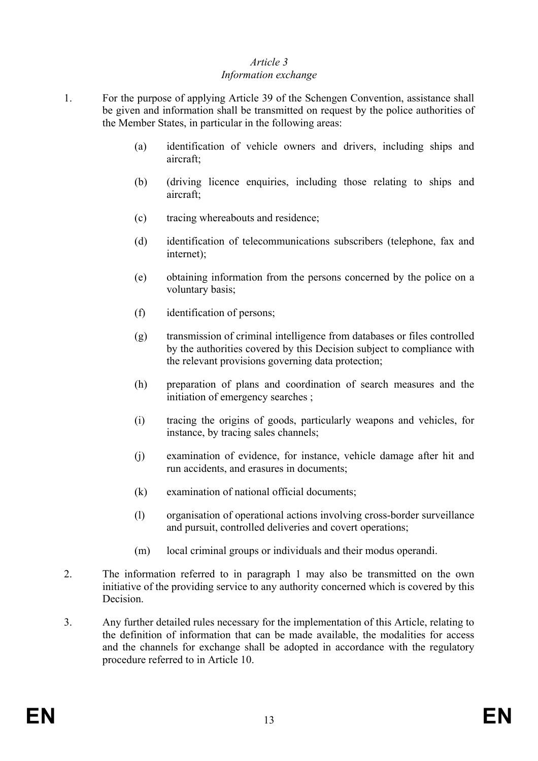### *Article 3*

### *Information exchange*

- 1. For the purpose of applying Article 39 of the Schengen Convention, assistance shall be given and information shall be transmitted on request by the police authorities of the Member States, in particular in the following areas:
	- (a) identification of vehicle owners and drivers, including ships and aircraft;
	- (b) (driving licence enquiries, including those relating to ships and aircraft;
	- (c) tracing whereabouts and residence;
	- (d) identification of telecommunications subscribers (telephone, fax and internet);
	- (e) obtaining information from the persons concerned by the police on a voluntary basis;
	- (f) identification of persons;
	- (g) transmission of criminal intelligence from databases or files controlled by the authorities covered by this Decision subject to compliance with the relevant provisions governing data protection;
	- (h) preparation of plans and coordination of search measures and the initiation of emergency searches ;
	- (i) tracing the origins of goods, particularly weapons and vehicles, for instance, by tracing sales channels;
	- (j) examination of evidence, for instance, vehicle damage after hit and run accidents, and erasures in documents;
	- (k) examination of national official documents;
	- (l) organisation of operational actions involving cross-border surveillance and pursuit, controlled deliveries and covert operations;
	- (m) local criminal groups or individuals and their modus operandi.
- 2. The information referred to in paragraph 1 may also be transmitted on the own initiative of the providing service to any authority concerned which is covered by this Decision.
- 3. Any further detailed rules necessary for the implementation of this Article, relating to the definition of information that can be made available, the modalities for access and the channels for exchange shall be adopted in accordance with the regulatory procedure referred to in Article 10.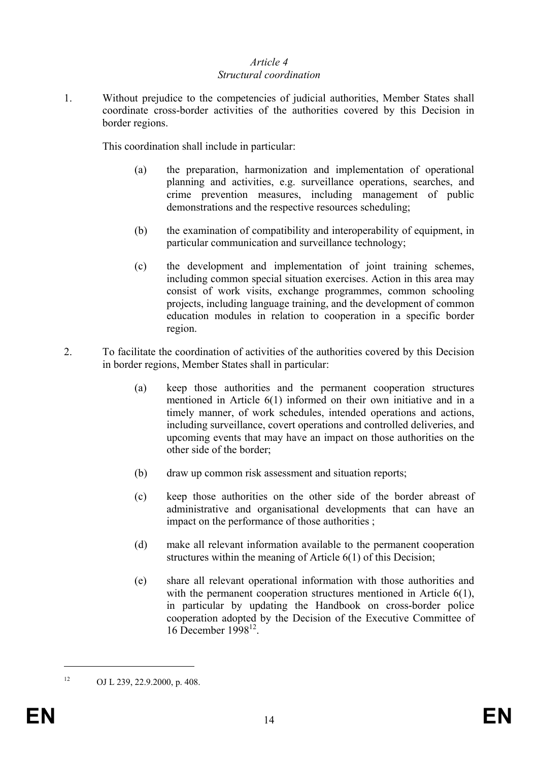### *Article 4 Structural coordination*

1. Without prejudice to the competencies of judicial authorities, Member States shall coordinate cross-border activities of the authorities covered by this Decision in border regions.

This coordination shall include in particular:

- (a) the preparation, harmonization and implementation of operational planning and activities, e.g. surveillance operations, searches, and crime prevention measures, including management of public demonstrations and the respective resources scheduling;
- (b) the examination of compatibility and interoperability of equipment, in particular communication and surveillance technology;
- (c) the development and implementation of joint training schemes, including common special situation exercises. Action in this area may consist of work visits, exchange programmes, common schooling projects, including language training, and the development of common education modules in relation to cooperation in a specific border region.
- 2. To facilitate the coordination of activities of the authorities covered by this Decision in border regions, Member States shall in particular:
	- (a) keep those authorities and the permanent cooperation structures mentioned in Article 6(1) informed on their own initiative and in a timely manner, of work schedules, intended operations and actions, including surveillance, covert operations and controlled deliveries, and upcoming events that may have an impact on those authorities on the other side of the border;
	- (b) draw up common risk assessment and situation reports;
	- (c) keep those authorities on the other side of the border abreast of administrative and organisational developments that can have an impact on the performance of those authorities ;
	- (d) make all relevant information available to the permanent cooperation structures within the meaning of Article 6(1) of this Decision;
	- (e) share all relevant operational information with those authorities and with the permanent cooperation structures mentioned in Article 6(1), in particular by updating the Handbook on cross-border police cooperation adopted by the Decision of the Executive Committee of 16 December 199812.

<sup>&</sup>lt;sup>12</sup> OJ L 239, 22.9.2000, p. 408.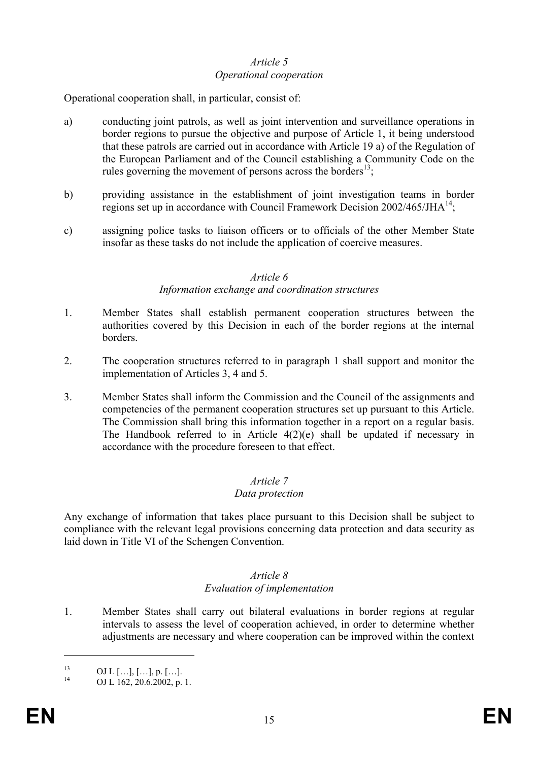### *Article 5 Operational cooperation*

Operational cooperation shall, in particular, consist of:

- a) conducting joint patrols, as well as joint intervention and surveillance operations in border regions to pursue the objective and purpose of Article 1, it being understood that these patrols are carried out in accordance with Article 19 a) of the Regulation of the European Parliament and of the Council establishing a Community Code on the rules governing the movement of persons across the borders<sup>13</sup>;
- b) providing assistance in the establishment of joint investigation teams in border regions set up in accordance with Council Framework Decision  $2002/465/JHA^{14}$ ;
- c) assigning police tasks to liaison officers or to officials of the other Member State insofar as these tasks do not include the application of coercive measures.

#### *Article 6*

#### *Information exchange and coordination structures*

- 1. Member States shall establish permanent cooperation structures between the authorities covered by this Decision in each of the border regions at the internal borders.
- 2. The cooperation structures referred to in paragraph 1 shall support and monitor the implementation of Articles 3, 4 and 5.
- 3. Member States shall inform the Commission and the Council of the assignments and competencies of the permanent cooperation structures set up pursuant to this Article. The Commission shall bring this information together in a report on a regular basis. The Handbook referred to in Article  $4(2)(e)$  shall be updated if necessary in accordance with the procedure foreseen to that effect.

## *Article 7*

#### *Data protection*

Any exchange of information that takes place pursuant to this Decision shall be subject to compliance with the relevant legal provisions concerning data protection and data security as laid down in Title VI of the Schengen Convention.

#### *Article 8 Evaluation of implementation*

1. Member States shall carry out bilateral evaluations in border regions at regular intervals to assess the level of cooperation achieved, in order to determine whether adjustments are necessary and where cooperation can be improved within the context

 $^{13}$  OJ L [...], [...], p. [...].

OJ L 162, 20.6.2002, p. 1.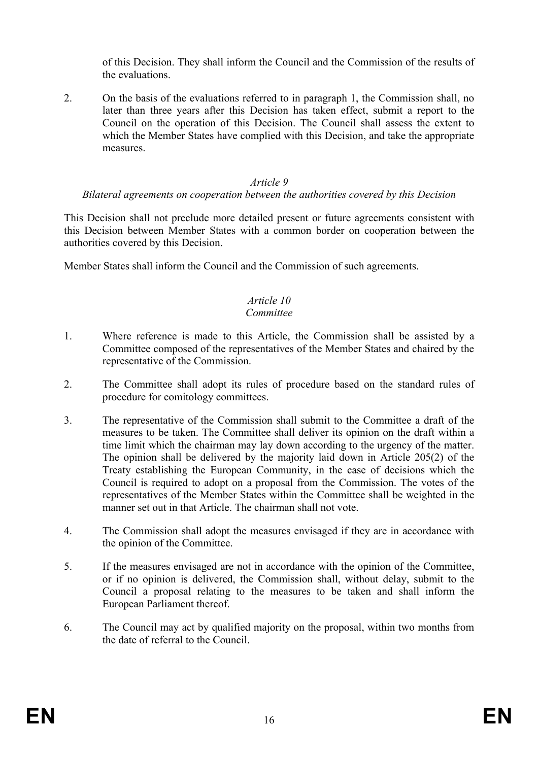of this Decision. They shall inform the Council and the Commission of the results of the evaluations.

2. On the basis of the evaluations referred to in paragraph 1, the Commission shall, no later than three years after this Decision has taken effect, submit a report to the Council on the operation of this Decision. The Council shall assess the extent to which the Member States have complied with this Decision, and take the appropriate measures.

#### *Article 9*

#### *Bilateral agreements on cooperation between the authorities covered by this Decision*

This Decision shall not preclude more detailed present or future agreements consistent with this Decision between Member States with a common border on cooperation between the authorities covered by this Decision.

Member States shall inform the Council and the Commission of such agreements.

#### *Article 10 Committee*

- 1. Where reference is made to this Article, the Commission shall be assisted by a Committee composed of the representatives of the Member States and chaired by the representative of the Commission.
- 2. The Committee shall adopt its rules of procedure based on the standard rules of procedure for comitology committees.
- 3. The representative of the Commission shall submit to the Committee a draft of the measures to be taken. The Committee shall deliver its opinion on the draft within a time limit which the chairman may lay down according to the urgency of the matter. The opinion shall be delivered by the majority laid down in Article 205(2) of the Treaty establishing the European Community, in the case of decisions which the Council is required to adopt on a proposal from the Commission. The votes of the representatives of the Member States within the Committee shall be weighted in the manner set out in that Article. The chairman shall not vote.
- 4. The Commission shall adopt the measures envisaged if they are in accordance with the opinion of the Committee.
- 5. If the measures envisaged are not in accordance with the opinion of the Committee, or if no opinion is delivered, the Commission shall, without delay, submit to the Council a proposal relating to the measures to be taken and shall inform the European Parliament thereof.
- 6. The Council may act by qualified majority on the proposal, within two months from the date of referral to the Council.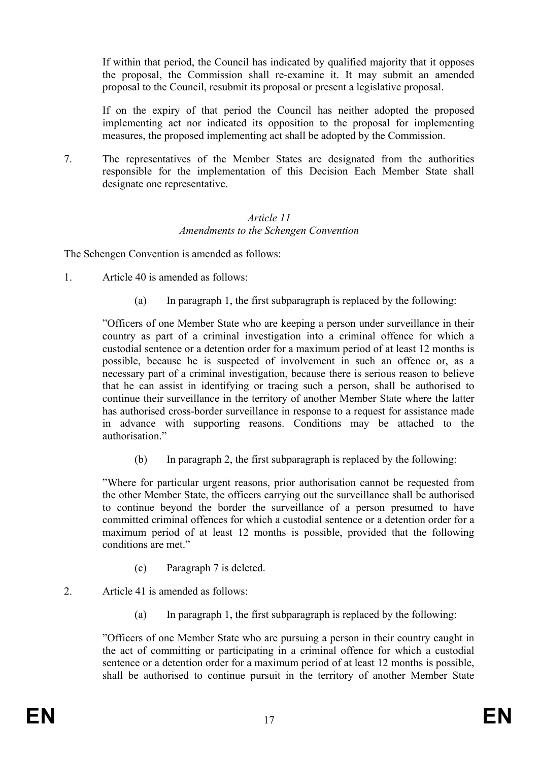If within that period, the Council has indicated by qualified majority that it opposes the proposal, the Commission shall re-examine it. It may submit an amended proposal to the Council, resubmit its proposal or present a legislative proposal.

If on the expiry of that period the Council has neither adopted the proposed implementing act nor indicated its opposition to the proposal for implementing measures, the proposed implementing act shall be adopted by the Commission.

7. The representatives of the Member States are designated from the authorities responsible for the implementation of this Decision Each Member State shall designate one representative.

#### *Article 11 Amendments to the Schengen Convention*

The Schengen Convention is amended as follows:

- 1. Article 40 is amended as follows:
	- (a) In paragraph 1, the first subparagraph is replaced by the following:

"Officers of one Member State who are keeping a person under surveillance in their country as part of a criminal investigation into a criminal offence for which a custodial sentence or a detention order for a maximum period of at least 12 months is possible, because he is suspected of involvement in such an offence or, as a necessary part of a criminal investigation, because there is serious reason to believe that he can assist in identifying or tracing such a person, shall be authorised to continue their surveillance in the territory of another Member State where the latter has authorised cross-border surveillance in response to a request for assistance made in advance with supporting reasons. Conditions may be attached to the authorisation."

(b) In paragraph 2, the first subparagraph is replaced by the following:

"Where for particular urgent reasons, prior authorisation cannot be requested from the other Member State, the officers carrying out the surveillance shall be authorised to continue beyond the border the surveillance of a person presumed to have committed criminal offences for which a custodial sentence or a detention order for a maximum period of at least 12 months is possible, provided that the following conditions are met."

- (c) Paragraph 7 is deleted.
- 2. Article 41 is amended as follows:
	- (a) In paragraph 1, the first subparagraph is replaced by the following:

"Officers of one Member State who are pursuing a person in their country caught in the act of committing or participating in a criminal offence for which a custodial sentence or a detention order for a maximum period of at least 12 months is possible, shall be authorised to continue pursuit in the territory of another Member State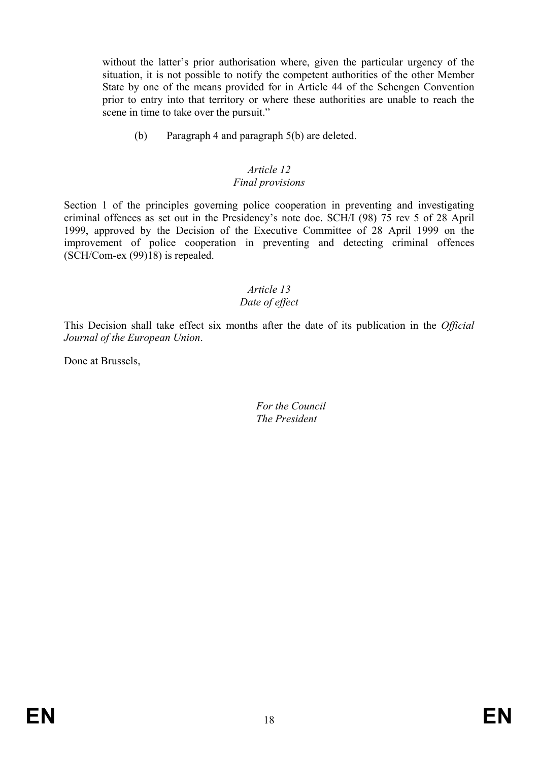without the latter's prior authorisation where, given the particular urgency of the situation, it is not possible to notify the competent authorities of the other Member State by one of the means provided for in Article 44 of the Schengen Convention prior to entry into that territory or where these authorities are unable to reach the scene in time to take over the pursuit."

(b) Paragraph 4 and paragraph 5(b) are deleted.

#### *Article 12 Final provisions*

Section 1 of the principles governing police cooperation in preventing and investigating criminal offences as set out in the Presidency's note doc. SCH/I (98) 75 rev 5 of 28 April 1999, approved by the Decision of the Executive Committee of 28 April 1999 on the improvement of police cooperation in preventing and detecting criminal offences (SCH/Com-ex (99)18) is repealed.

# *Article 13*

## *Date of effect*

This Decision shall take effect six months after the date of its publication in the *Official Journal of the European Union*.

Done at Brussels,

 *For the Council The President*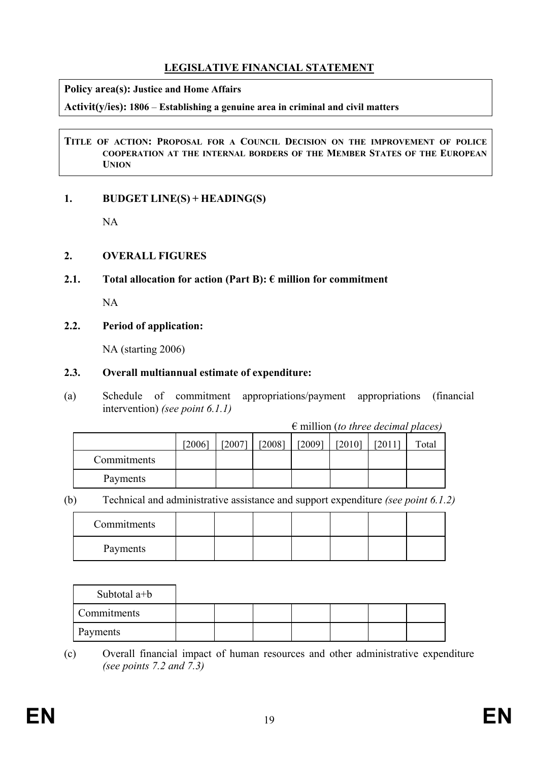# **LEGISLATIVE FINANCIAL STATEMENT**

#### **Policy area(s): Justice and Home Affairs**

**Activit(y/ies): 1806** – **Establishing a genuine area in criminal and civil matters**

#### **TITLE OF ACTION: PROPOSAL FOR A COUNCIL DECISION ON THE IMPROVEMENT OF POLICE COOPERATION AT THE INTERNAL BORDERS OF THE MEMBER STATES OF THE EUROPEAN UNION**

## **1. BUDGET LINE(S) + HEADING(S)**

NA

## **2. OVERALL FIGURES**

## **2.1. Total allocation for action (Part B): € million for commitment**

NA

## **2.2. Period of application:**

NA (starting 2006)

## **2.3. Overall multiannual estimate of expenditure:**

(a) Schedule of commitment appropriations/payment appropriations (financial intervention) *(see point 6.1.1)* 

€ million (*to three decimal places)* 

|             | [2006] | [2007] | [2008] | [2009] | [2010] | [2011] | Total |
|-------------|--------|--------|--------|--------|--------|--------|-------|
| Commitments |        |        |        |        |        |        |       |
| Payments    |        |        |        |        |        |        |       |

(b) Technical and administrative assistance and support expenditure *(see point 6.1.2)*

| Commitments |  |  |  |  |
|-------------|--|--|--|--|
| Payments    |  |  |  |  |

| Subtotal a+b       |  |  |  |  |
|--------------------|--|--|--|--|
| <b>Commitments</b> |  |  |  |  |
| Payments           |  |  |  |  |

(c) Overall financial impact of human resources and other administrative expenditure *(see points 7.2 and 7.3)*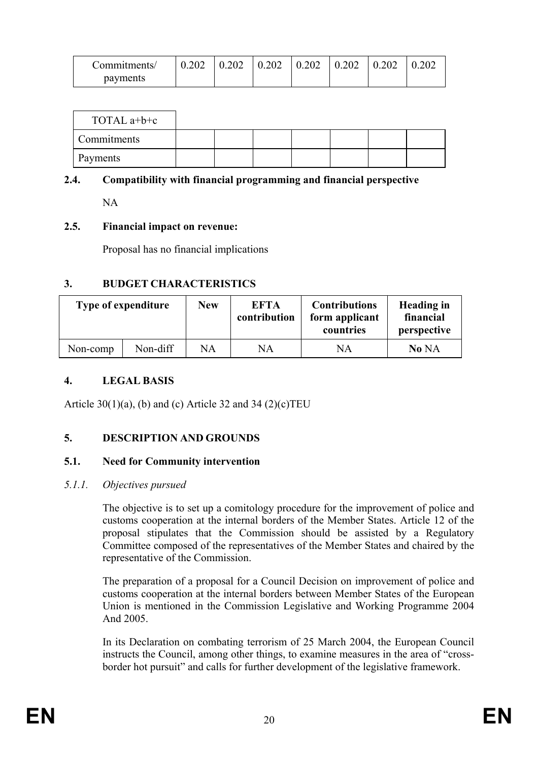| Commitments/ |  | $0.202$   $0.202$   $0.202$   $0.202$   $0.202$   $0.202$ |  | $\perp 0.202$ |
|--------------|--|-----------------------------------------------------------|--|---------------|
| payments     |  |                                                           |  |               |

| TOTAL $a+b+c$      |  |  |  |  |
|--------------------|--|--|--|--|
| <b>Commitments</b> |  |  |  |  |
| Payments           |  |  |  |  |

#### **2.4. Compatibility with financial programming and financial perspective**

NA

#### **2.5. Financial impact on revenue:**

Proposal has no financial implications

#### **3. BUDGET CHARACTERISTICS**

| <b>Type of expenditure</b> |          | <b>New</b> | <b>EFTA</b><br>contribution | <b>Contributions</b><br>form applicant<br>countries | Heading in<br>financial<br>perspective |
|----------------------------|----------|------------|-----------------------------|-----------------------------------------------------|----------------------------------------|
| Non-comp                   | Non-diff | NA         | NA                          | NA                                                  | No NA                                  |

### **4. LEGAL BASIS**

Article 30(1)(a), (b) and (c) Article 32 and 34 (2)(c)TEU

#### **5. DESCRIPTION AND GROUNDS**

#### **5.1. Need for Community intervention**

#### *5.1.1. Objectives pursued*

The objective is to set up a comitology procedure for the improvement of police and customs cooperation at the internal borders of the Member States. Article 12 of the proposal stipulates that the Commission should be assisted by a Regulatory Committee composed of the representatives of the Member States and chaired by the representative of the Commission.

The preparation of a proposal for a Council Decision on improvement of police and customs cooperation at the internal borders between Member States of the European Union is mentioned in the Commission Legislative and Working Programme 2004 And 2005.

In its Declaration on combating terrorism of 25 March 2004, the European Council instructs the Council, among other things, to examine measures in the area of "crossborder hot pursuit" and calls for further development of the legislative framework.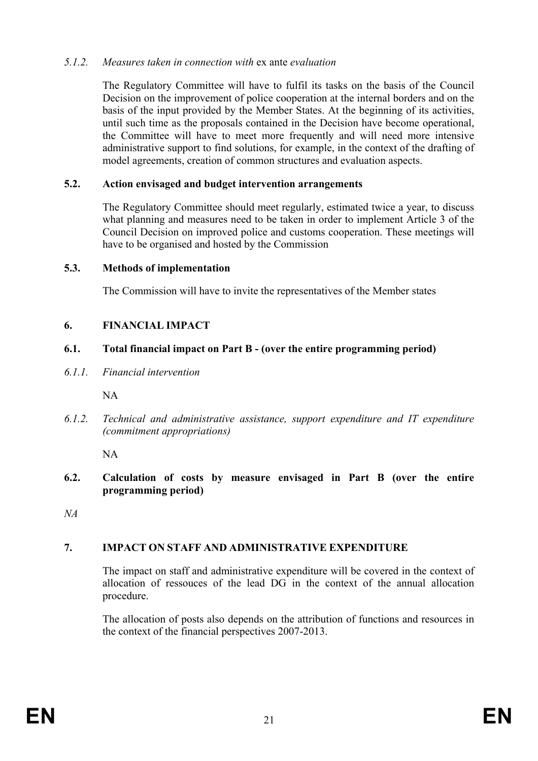## *5.1.2. Measures taken in connection with* ex ante *evaluation*

The Regulatory Committee will have to fulfil its tasks on the basis of the Council Decision on the improvement of police cooperation at the internal borders and on the basis of the input provided by the Member States. At the beginning of its activities, until such time as the proposals contained in the Decision have become operational, the Committee will have to meet more frequently and will need more intensive administrative support to find solutions, for example, in the context of the drafting of model agreements, creation of common structures and evaluation aspects.

### **5.2. Action envisaged and budget intervention arrangements**

The Regulatory Committee should meet regularly, estimated twice a year, to discuss what planning and measures need to be taken in order to implement Article 3 of the Council Decision on improved police and customs cooperation. These meetings will have to be organised and hosted by the Commission

#### **5.3. Methods of implementation**

The Commission will have to invite the representatives of the Member states

## **6. FINANCIAL IMPACT**

### **6.1. Total financial impact on Part B - (over the entire programming period)**

*6.1.1. Financial intervention* 

NA

*6.1.2. Technical and administrative assistance, support expenditure and IT expenditure (commitment appropriations)* 

NA

**6.2. Calculation of costs by measure envisaged in Part B (over the entire programming period)** 

*NA* 

## **7. IMPACT ON STAFF AND ADMINISTRATIVE EXPENDITURE**

The impact on staff and administrative expenditure will be covered in the context of allocation of ressouces of the lead DG in the context of the annual allocation procedure.

The allocation of posts also depends on the attribution of functions and resources in the context of the financial perspectives 2007-2013.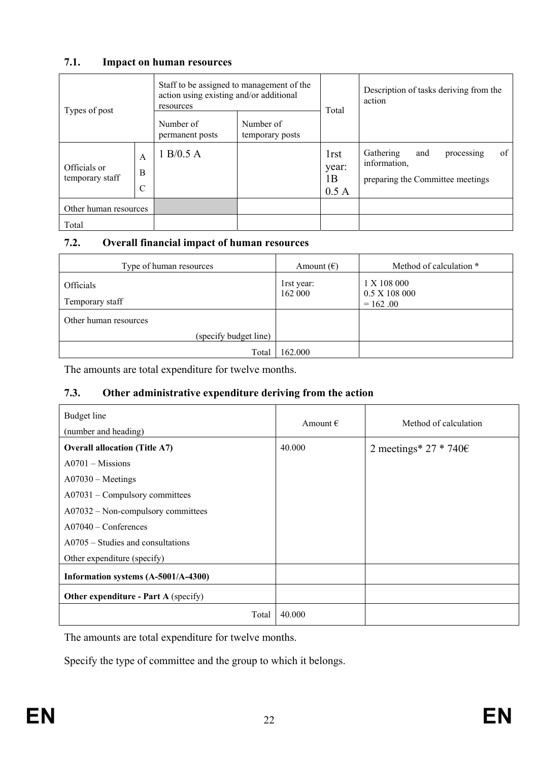### **7.1. Impact on human resources**

| Types of post                   |                         | action using existing and/or additional<br>resources | Staff to be assigned to management of the | Total                                    | Description of tasks deriving from the<br>action                                         |
|---------------------------------|-------------------------|------------------------------------------------------|-------------------------------------------|------------------------------------------|------------------------------------------------------------------------------------------|
|                                 |                         | Number of<br>permanent posts                         | Number of<br>temporary posts              |                                          |                                                                                          |
| Officials or<br>temporary staff | A<br>B<br>$\mathcal{C}$ | 1 B/0.5 A                                            |                                           | 1 <sub>rst</sub><br>year:<br>1B<br>0.5 A | of<br>Gathering<br>and<br>processing<br>information,<br>preparing the Committee meetings |
| Other human resources           |                         |                                                      |                                           |                                          |                                                                                          |
| Total                           |                         |                                                      |                                           |                                          |                                                                                          |

### **7.2. Overall financial impact of human resources**

| Type of human resources      | Amount $(\epsilon)$   | Method of calculation *                    |
|------------------------------|-----------------------|--------------------------------------------|
| Officials<br>Temporary staff | 1rst year:<br>162 000 | 1 X 108 000<br>0.5 X 108 000<br>$= 162.00$ |
| Other human resources        |                       |                                            |
| (specify budget line)        |                       |                                            |
| Total                        | 162.000               |                                            |

The amounts are total expenditure for twelve months.

## **7.3. Other administrative expenditure deriving from the action**

| Budget line<br>(number and heading)         | Amount $\epsilon$ | Method of calculation           |
|---------------------------------------------|-------------------|---------------------------------|
| <b>Overall allocation (Title A7)</b>        | 40.000            | 2 meetings* 27 * 740 $\epsilon$ |
| $A0701 - Missions$                          |                   |                                 |
| $A07030 - Meetings$                         |                   |                                 |
| $A07031 - Compulsory committees$            |                   |                                 |
| A07032 – Non-compulsory committees          |                   |                                 |
| $A07040 - Conferences$                      |                   |                                 |
| $A0705 - Studies$ and consultations         |                   |                                 |
| Other expenditure (specify)                 |                   |                                 |
| Information systems (A-5001/A-4300)         |                   |                                 |
| <b>Other expenditure - Part A (specify)</b> |                   |                                 |
| Total                                       | 40.000            |                                 |

The amounts are total expenditure for twelve months.

Specify the type of committee and the group to which it belongs.